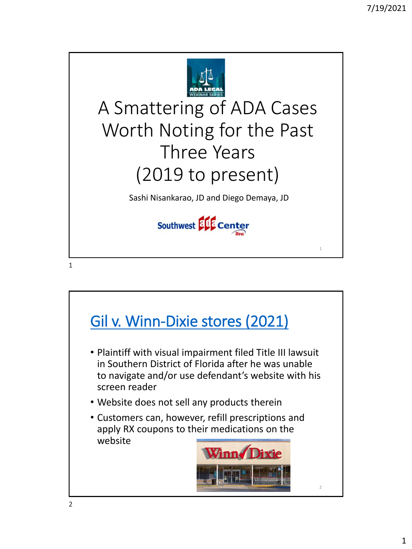

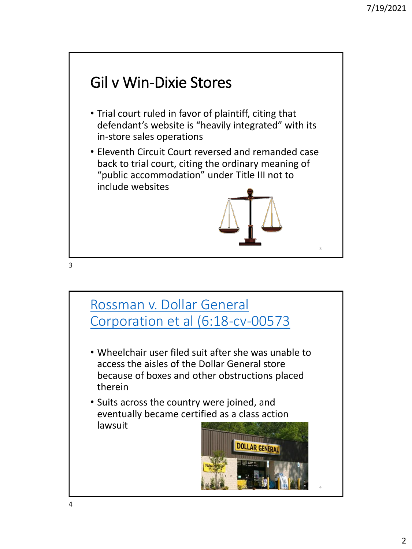# Gil v Win-Dixie Stores

- Trial court ruled in favor of plaintiff, citing that defendant's website is "heavily integrated" with its in-store sales operations
- Eleventh Circuit Court reversed and remanded case back to trial court, citing the ordinary meaning of "public accommodation" under Title III not to include websites



3

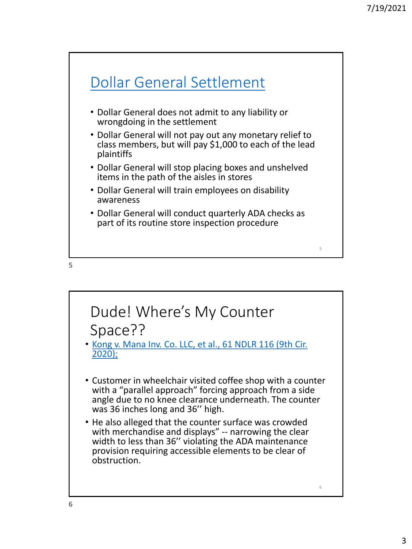



• [Kong v. Mana Inv. Co. LLC, et al., 61 NDLR 116 \(9th Cir.](https://casetext.com/case/kong-v-mana-inv-co-1) 2020);

- Customer in wheelchair visited coffee shop with a counter with a "parallel approach" forcing approach from a side angle due to no knee clearance underneath. The counter was 36 inches long and 36'' high.
- He also alleged that the counter surface was crowded with merchandise and displays" -- narrowing the clear width to less than 36'' violating the ADA maintenance provision requiring accessible elements to be clear of obstruction.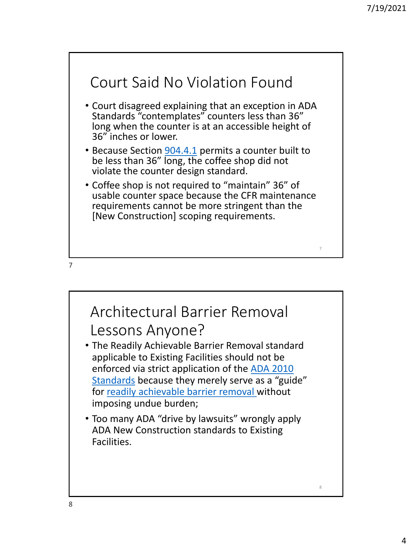

- Court disagreed explaining that an exception in ADA Standards "contemplates" counters less than 36" long when the counter is at an accessible height of 36" inches or lower.
- Because Section [904.4.1](https://www.ada.gov/regs2010/2010ADAStandards/2010ADAstandards.htm) permits a counter built to be less than 36" long, the coffee shop did not violate the counter design standard.
- Coffee shop is not required to "maintain" 36" of usable counter space because the CFR maintenance requirements cannot be more stringent than the [New Construction] scoping requirements.

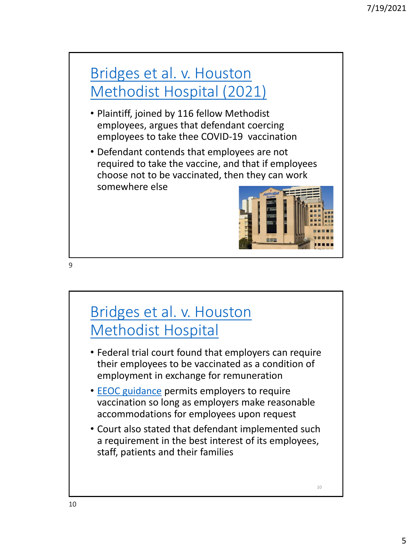### Bridges et al. v. Houston [Methodist Hospital \(2021\)](https://docs.justia.com/cases/federal/district-courts/texas/txsdce/4:2021cv01774/1830373/18)

- Plaintiff, joined by 116 fellow Methodist employees, argues that defendant coercing employees to take thee COVID-19 vaccination
- Defendant contends that employees are not required to take the vaccine, and that if employees choose not to be vaccinated, then they can work somewhere else



10



### [Bridges et al. v. Houston](https://www.eeoc.gov/wysk/what-you-should-know-about-covid-19-and-ada-rehabilitation-act-and-other-eeo-laws) Methodist Hospital

- Federal trial court found that employers can require their employees to be vaccinated as a condition of employment in exchange for remuneration
- [EEOC guidance](https://www.eeoc.gov/wysk/what-you-should-know-about-covid-19-and-ada-rehabilitation-act-and-other-eeo-laws) permits employers to require vaccination so long as employers make reasonable accommodations for employees upon request
- Court also stated that defendant implemented such a requirement in the best interest of its employees, staff, patients and their families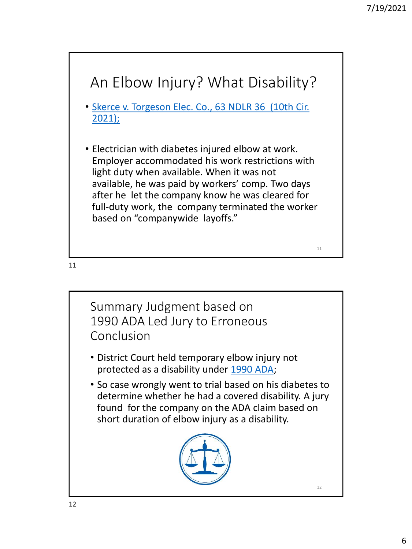

Summary Judgment based on 1990 ADA Led Jury to Erroneous Conclusion

- District Court held temporary elbow injury not protected as a disability under [1990 ADA;](https://www.eeoc.gov/americans-disabilities-act-1990-original-text)
- So case wrongly went to trial based on his diabetes to determine whether he had a covered disability. A jury found for the company on the ADA claim based on short duration of elbow injury as a disability.



12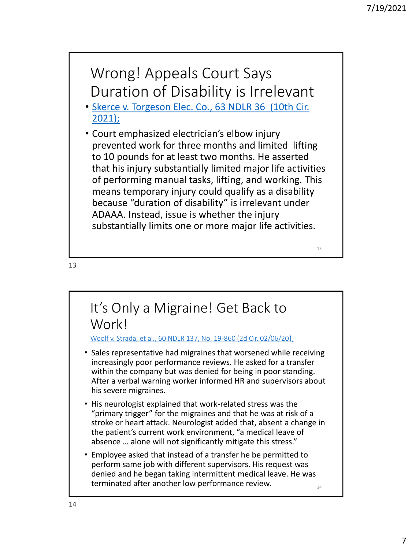### Wrong! Appeals Court Says Duration of Disability is Irrelevant

- [Skerce v. Torgeson Elec. Co., 63 NDLR 36 \(10th Cir.](https://ecf.ksd.uscourts.gov/cgi-bin/show_public_doc?2018cv2040-58)  2021);
- Court emphasized electrician's elbow injury prevented work for three months and limited lifting to 10 pounds for at least two months. He asserted that his injury substantially limited major life activities of performing manual tasks, lifting, and working. This means temporary injury could qualify as a disability because "duration of disability" is irrelevant under ADAAA. Instead, issue is whether the injury substantially limits one or more major life activities.

13

#### It's Only a Migraine! Get Back to Work!

[Woolf v. Strada, et al., 60 NDLR 137, No. 19-860 \(2d Cir. 02/06/20](https://law.justia.com/cases/federal/appellate-courts/ca2/19-860/19-860-2020-02-06.html));

- Sales representative had migraines that worsened while receiving increasingly poor performance reviews. He asked for a transfer within the company but was denied for being in poor standing. After a verbal warning worker informed HR and supervisors about his severe migraines.
- His neurologist explained that work-related stress was the "primary trigger" for the migraines and that he was at risk of a stroke or heart attack. Neurologist added that, absent a change in the patient's current work environment, "a medical leave of absence … alone will not significantly mitigate this stress."
- Employee asked that instead of a transfer he be permitted to perform same job with different supervisors. His request was denied and he began taking intermittent medical leave. He was terminated after another low performance review.

14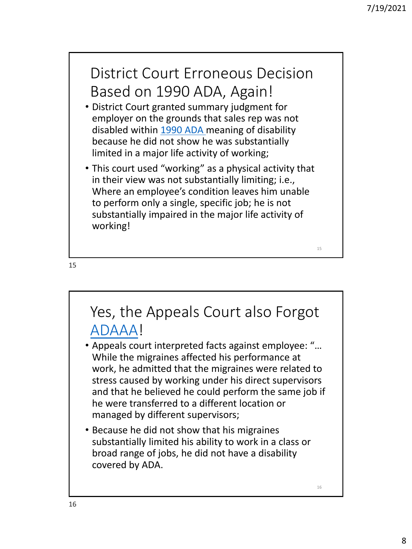16

### District Court Erroneous Decision Based on 1990 ADA, Again!

- District Court granted summary judgment for employer on the grounds that sales rep was not disabled within [1990 ADA m](https://www.eeoc.gov/americans-disabilities-act-1990-original-text)eaning of disability because he did not show he was substantially limited in a major life activity of working;
- This court used "working" as a physical activity that in their view was not substantially limiting; i.e., Where an employee's condition leaves him unable to perform only a single, specific job; he is not substantially impaired in the major life activity of working!

15

## Yes, the Appeals Court also Forgot [ADAAA](https://adata.org/sites/adata.org/files/files/Employee_View_of_Changes_LP%20final2018(1).pdf)!

- Appeals court interpreted facts against employee: "… While the migraines affected his performance at work, he admitted that the migraines were related to stress caused by working under his direct supervisors and that he believed he could perform the same job if he were transferred to a different location or managed by different supervisors;
- Because he did not show that his migraines substantially limited his ability to work in a class or broad range of jobs, he did not have a disability covered by ADA.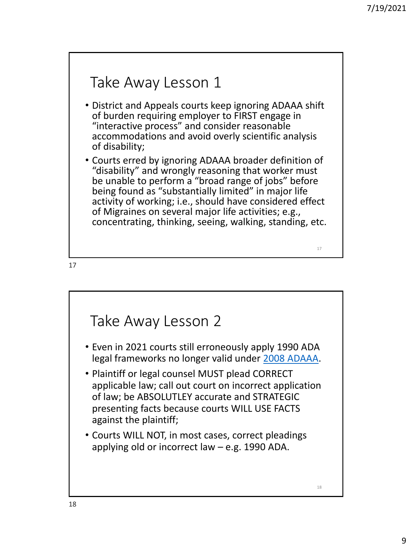### Take Away Lesson 1

- District and Appeals courts keep ignoring ADAAA shift of burden requiring employer to FIRST engage in "interactive process" and consider reasonable accommodations and avoid overly scientific analysis of disability;
- Courts erred by ignoring ADAAA broader definition of "disability" and wrongly reasoning that worker must be unable to perform a "broad range of jobs" before being found as "substantially limited" in major life activity of working; i.e., should have considered effect of Migraines on several major life activities; e.g., concentrating, thinking, seeing, walking, standing, etc.

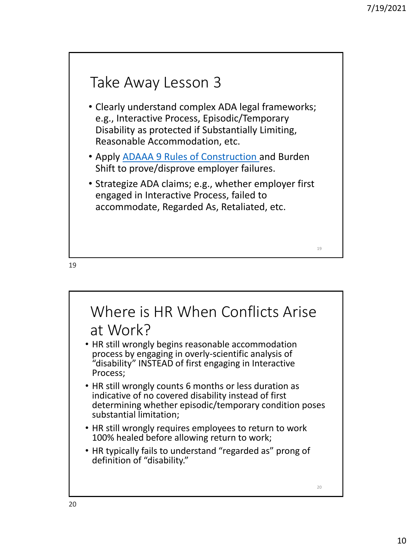### Take Away Lesson 3

- Clearly understand complex ADA legal frameworks; e.g., Interactive Process, Episodic/Temporary Disability as protected if Substantially Limiting, Reasonable Accommodation, etc.
- Apply [ADAAA 9 Rules of Construction a](http://southwestada.org/html/topical/Disability/Dis_definition.html)nd Burden Shift to prove/disprove employer failures.
- Strategize ADA claims; e.g., whether employer first engaged in Interactive Process, failed to accommodate, Regarded As, Retaliated, etc.

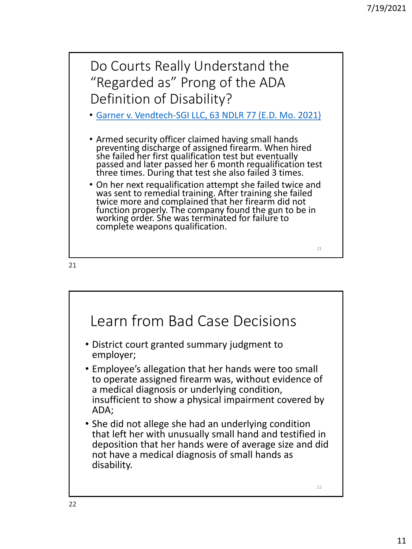

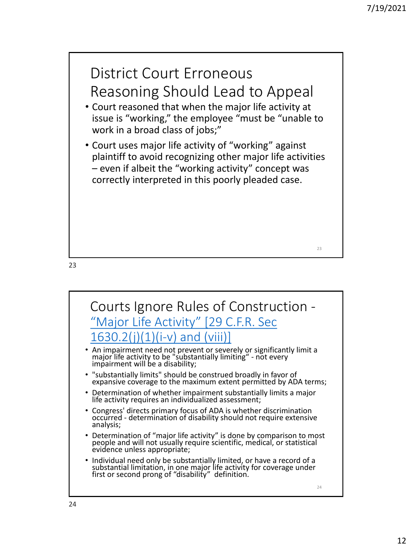

23

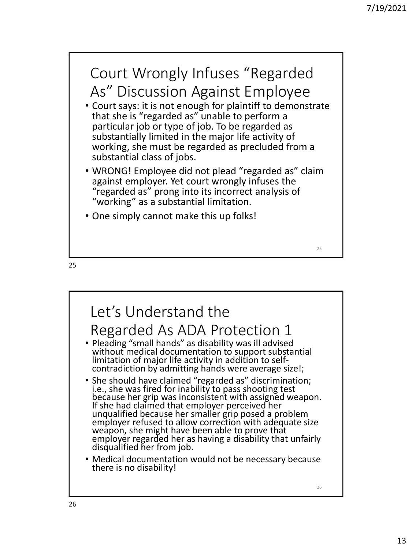



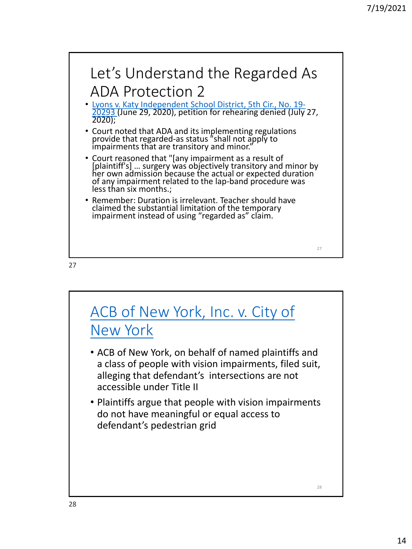

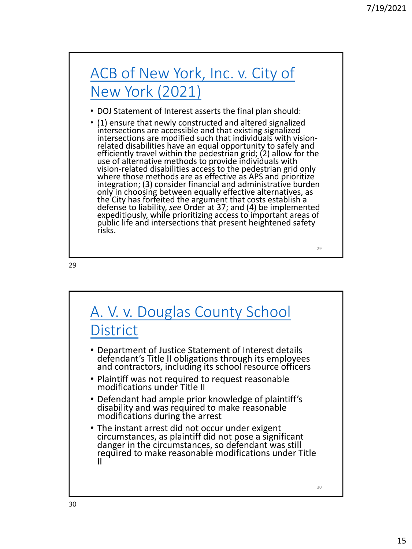## [ACB of New York, Inc. v. City of](https://www.ada.gov/acb_nyc_soi.html)  New York (2021)

- DOJ Statement of Interest asserts the final plan should:
- (1) ensure that newly constructed and altered signalized intersections are accessible and that existing signalized intersections are modified such that individuals with visionrelated disabilities have an equal opportunity to safely and efficiently travel within the pedestrian grid; (2) allow for the use of alternative methods to provide individuals with vision-related disabilities access to the pedestrian grid only where those methods are as effective as APS and prioritize integration; (3) consider financial and administrative burden only in choosing between equally effective alternatives, as the City has forfeited the argument that costs establish a defense to liability, *see* Order at 37; and (4) be implemented expeditiously, while prioritizing access to important areas of public life and intersections that present heightened safety risks.

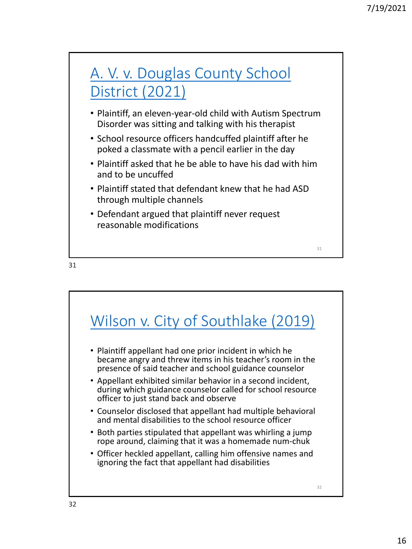

- Plaintiff, an eleven-year-old child with Autism Spectrum Disorder was sitting and talking with his therapist
- School resource officers handcuffed plaintiff after he poked a classmate with a pencil earlier in the day
- Plaintiff asked that he be able to have his dad with him and to be uncuffed
- Plaintiff stated that defendant knew that he had ASD through multiple channels
- Defendant argued that plaintiff never request reasonable modifications

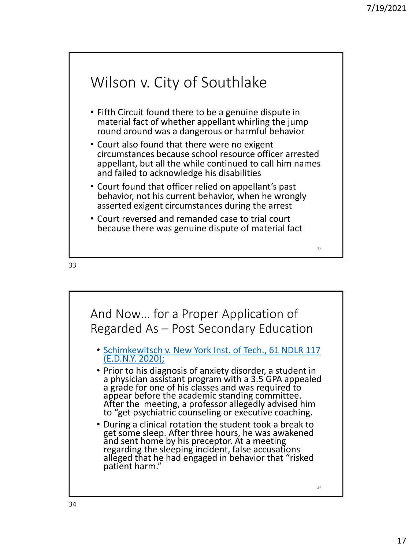

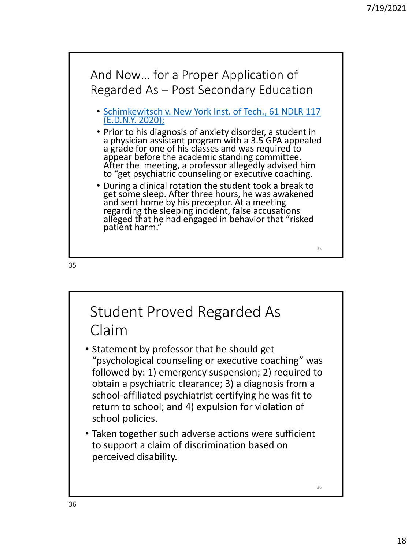

36 Student Proved Regarded As Claim • Statement by professor that he should get "psychological counseling or executive coaching" was followed by: 1) emergency suspension; 2) required to obtain a psychiatric clearance; 3) a diagnosis from a school-affiliated psychiatrist certifying he was fit to return to school; and 4) expulsion for violation of school policies. • Taken together such adverse actions were sufficient to support a claim of discrimination based on perceived disability.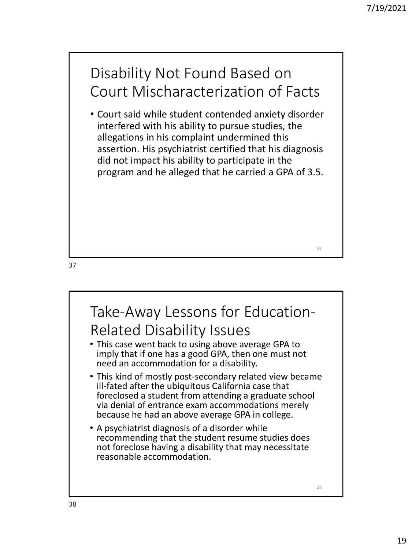### Disability Not Found Based on Court Mischaracterization of Facts

• Court said while student contended anxiety disorder interfered with his ability to pursue studies, the allegations in his complaint undermined this assertion. His psychiatrist certified that his diagnosis did not impact his ability to participate in the program and he alleged that he carried a GPA of 3.5.

37

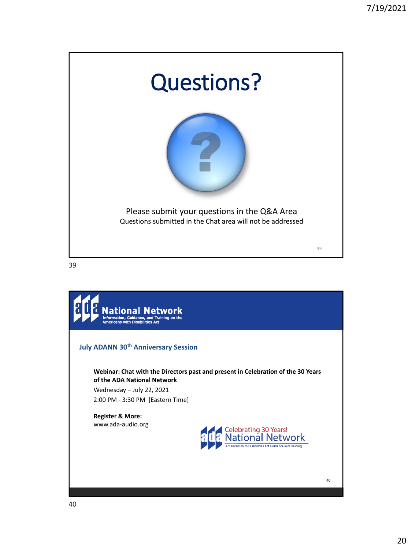